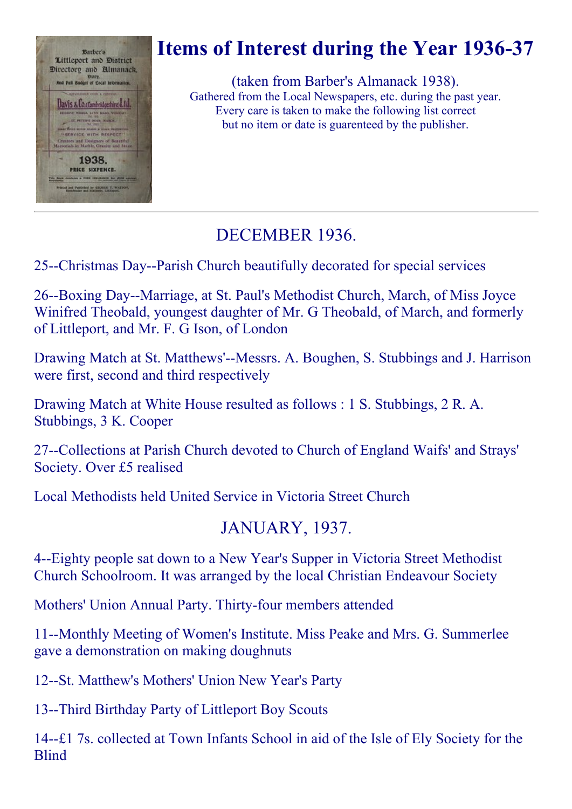

# Items of Interest during the Year 1936-37

(taken from Barber's Almanack 1938). Gathered from the Local Newspapers, etc. during the past year. Every care is taken to make the following list correct but no item or date is guarenteed by the publisher.

## DECEMBER 1936.

25--Christmas Day--Parish Church beautifully decorated for special services

26--Boxing Day--Marriage, at St. Paul's Methodist Church, March, of Miss Joyce Winifred Theobald, youngest daughter of Mr. G Theobald, of March, and formerly of Littleport, and Mr. F. G Ison, of London

Drawing Match at St. Matthews'--Messrs. A. Boughen, S. Stubbings and J. Harrison were first, second and third respectively

Drawing Match at White House resulted as follows : 1 S. Stubbings, 2 R. A. Stubbings, 3 K. Cooper

27--Collections at Parish Church devoted to Church of England Waifs' and Strays' Society. Over £5 realised

Local Methodists held United Service in Victoria Street Church

## JANUARY, 1937.

4--Eighty people sat down to a New Year's Supper in Victoria Street Methodist Church Schoolroom. It was arranged by the local Christian Endeavour Society

Mothers' Union Annual Party. Thirty-four members attended

11--Monthly Meeting of Women's Institute. Miss Peake and Mrs. G. Summerlee gave a demonstration on making doughnuts

12--St. Matthew's Mothers' Union New Year's Party

13--Third Birthday Party of Littleport Boy Scouts

14—f. 1 7s. collected at Town Infants School in aid of the Isle of Ely Society for the **Blind**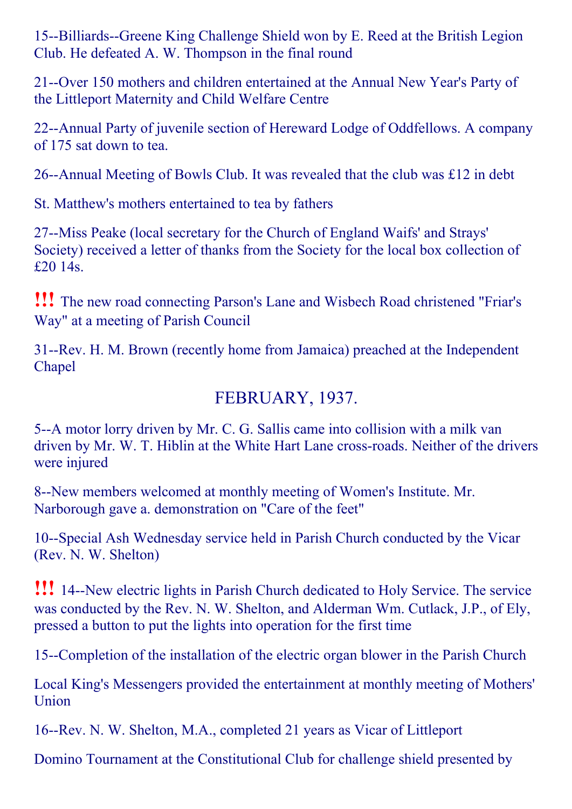15--Billiards--Greene King Challenge Shield won by E. Reed at the British Legion Club. He defeated A. W. Thompson in the final round

21--Over 150 mothers and children entertained at the Annual New Year's Party of the Littleport Maternity and Child Welfare Centre

22--Annual Party of juvenile section of Hereward Lodge of Oddfellows. A company of 175 sat down to tea.

26--Annual Meeting of Bowls Club. It was revealed that the club was £12 in debt

St. Matthew's mothers entertained to tea by fathers

27--Miss Peake (local secretary for the Church of England Waifs' and Strays' Society) received a letter of thanks from the Society for the local box collection of £20 14s.

!!! The new road connecting Parson's Lane and Wisbech Road christened "Friar's Way" at a meeting of Parish Council

31--Rev. H. M. Brown (recently home from Jamaica) preached at the Independent Chapel

## FEBRUARY, 1937.

5--A motor lorry driven by Mr. C. G. Sallis came into collision with a milk van driven by Mr. W. T. Hiblin at the White Hart Lane cross-roads. Neither of the drivers were injured

8--New members welcomed at monthly meeting of Women's Institute. Mr. Narborough gave a. demonstration on "Care of the feet"

10--Special Ash Wednesday service held in Parish Church conducted by the Vicar (Rev. N. W. Shelton)

**!!!** 14--New electric lights in Parish Church dedicated to Holy Service. The service was conducted by the Rev. N. W. Shelton, and Alderman Wm. Cutlack, J.P., of Ely, pressed a button to put the lights into operation for the first time

15--Completion of the installation of the electric organ blower in the Parish Church

Local King's Messengers provided the entertainment at monthly meeting of Mothers' Union

16--Rev. N. W. Shelton, M.A., completed 21 years as Vicar of Littleport

Domino Tournament at the Constitutional Club for challenge shield presented by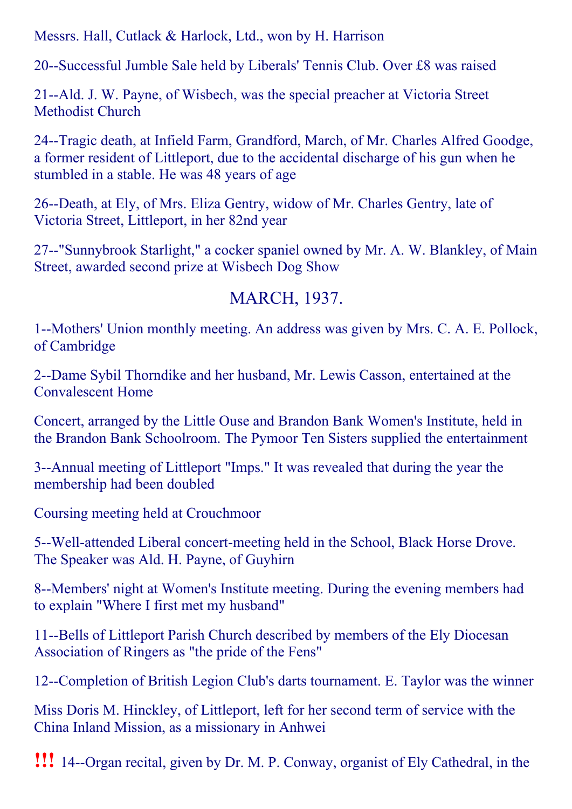Messrs. Hall, Cutlack & Harlock, Ltd., won by H. Harrison

20--Successful Jumble Sale held by Liberals' Tennis Club. Over £8 was raised

21--Ald. J. W. Payne, of Wisbech, was the special preacher at Victoria Street Methodist Church

24--Tragic death, at Infield Farm, Grandford, March, of Mr. Charles Alfred Goodge, a former resident of Littleport, due to the accidental discharge of his gun when he stumbled in a stable. He was 48 years of age

26--Death, at Ely, of Mrs. Eliza Gentry, widow of Mr. Charles Gentry, late of Victoria Street, Littleport, in her 82nd year

27--"Sunnybrook Starlight," a cocker spaniel owned by Mr. A. W. Blankley, of Main Street, awarded second prize at Wisbech Dog Show

## MARCH, 1937.

1--Mothers' Union monthly meeting. An address was given by Mrs. C. A. E. Pollock, of Cambridge

2--Dame Sybil Thorndike and her husband, Mr. Lewis Casson, entertained at the Convalescent Home

Concert, arranged by the Little Ouse and Brandon Bank Women's Institute, held in the Brandon Bank Schoolroom. The Pymoor Ten Sisters supplied the entertainment

3--Annual meeting of Littleport "Imps." It was revealed that during the year the membership had been doubled

Coursing meeting held at Crouchmoor

5--Well-attended Liberal concert-meeting held in the School, Black Horse Drove. The Speaker was Ald. H. Payne, of Guyhirn

8--Members' night at Women's Institute meeting. During the evening members had to explain "Where I first met my husband"

11--Bells of Littleport Parish Church described by members of the Ely Diocesan Association of Ringers as "the pride of the Fens"

12--Completion of British Legion Club's darts tournament. E. Taylor was the winner

Miss Doris M. Hinckley, of Littleport, left for her second term of service with the China Inland Mission, as a missionary in Anhwei

**!!!** 14--Organ recital, given by Dr. M. P. Conway, organist of Ely Cathedral, in the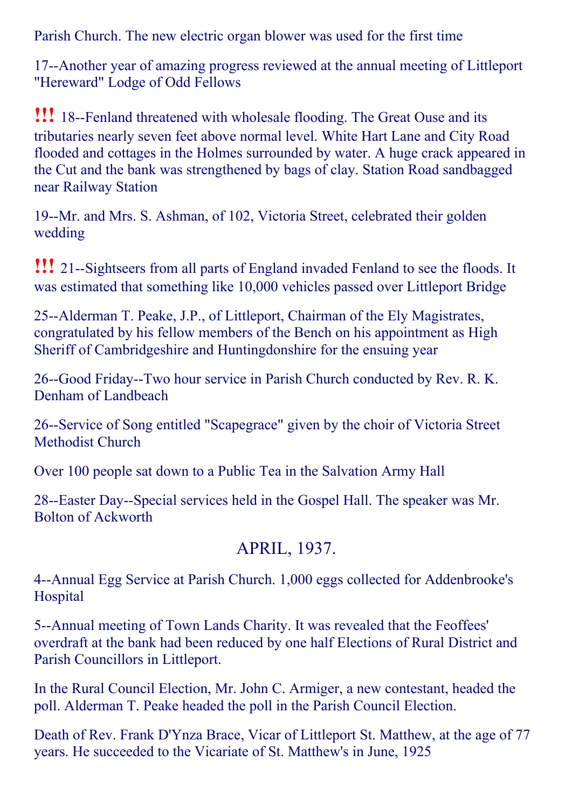Parish Church. The new electric organ blower was used for the first time

17--Another year of amazing progress reviewed at the annual meeting of Littleport "Hereward" Lodge of Odd Fellows

**!!!** 18--Fenland threatened with wholesale flooding. The Great Ouse and its tributaries nearly seven feet above normal level. White Hart Lane and City Road flooded and cottages in the Holmes surrounded by water. A huge crack appeared in the Cut and the bank was strengthened by bags of clay. Station Road sandbagged near Railway Station

19--Mr. and Mrs. S. Ashman, of 102, Victoria Street, celebrated their golden wedding

**!!!** 21--Sightseers from all parts of England invaded Fenland to see the floods. It was estimated that something like 10,000 vehicles passed over Littleport Bridge

25--Alderman T. Peake, J.P., of Littleport, Chairman of the Ely Magistrates, congratulated by his fellow members of the Bench on his appointment as High Sheriff of Cambridgeshire and Huntingdonshire for the ensuing year

26--Good Friday--Two hour service in Parish Church conducted by Rev. R. K. Denham of Landbeach

26-Service of Song entitled "Scapegrace" given by the choir of Victoria Street Methodist Church

Over 100 people sat down to a Public Tea in the Salvation Army Hall

28--Easter Day--Special services held in the Gospel Hall. The speaker was Mr. Bolton of Ackworth

## APRIL, 1937.

4--Annual Egg Service at Parish Church. 1,000 eggs collected for Addenbrooke's Hospital

5--Annual meeting of Town Lands Charity. It was revealed that the Feoffees' overdraft at the bank had been reduced by one half Elections of Rural District and Parish Councillors in Littleport.

In the Rural Council Election, Mr. John C. Armiger, a new contestant, headed the poll. Alderman T. Peake headed the poll in the Parish Council Election.

Death of Rev. Frank D'Ynza Brace, Vicar of Littleport St. Matthew, at the age of 77 years. He succeeded to the Vicariate of St. Matthew's in June, 1925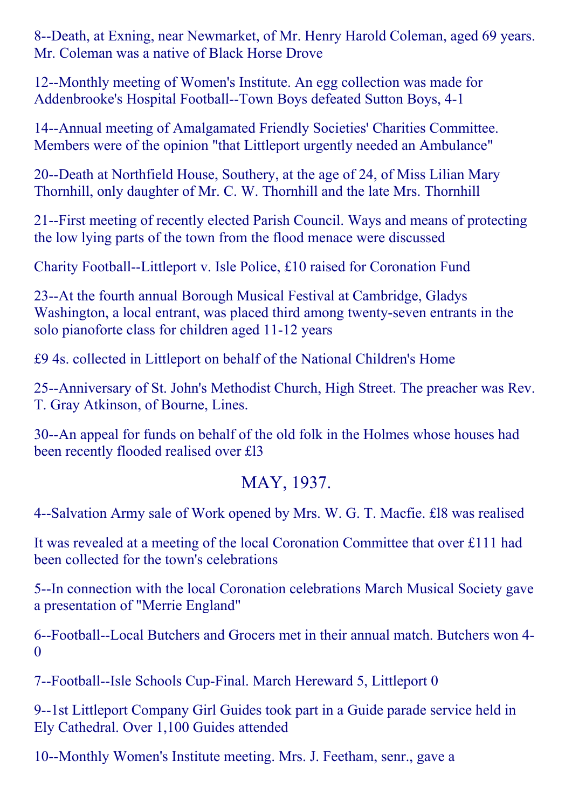8--Death, at Exning, near Newmarket, of Mr. Henry Harold Coleman, aged 69 years. Mr. Coleman was a native of Black Horse Drove

12--Monthly meeting of Women's Institute. An egg collection was made for Addenbrooke's Hospital Football--Town Boys defeated Sutton Boys, 4-1

14--Annual meeting of Amalgamated Friendly Societies' Charities Committee. Members were of the opinion "that Littleport urgently needed an Ambulance"

20--Death at Northfield House, Southery, at the age of 24, of Miss Lilian Mary Thornhill, only daughter of Mr. C. W. Thornhill and the late Mrs. Thornhill

21-First meeting of recently elected Parish Council. Ways and means of protecting the low lying parts of the town from the flood menace were discussed

Charity Football--Littleport v. Isle Police, £10 raised for Coronation Fund

23--At the fourth annual Borough Musical Festival at Cambridge, Gladys Washington, a local entrant, was placed third among twenty-seven entrants in the solo pianoforte class for children aged 11-12 years

£9 4s. collected in Littleport on behalf of the National Children's Home

25--Anniversary of St. John's Methodist Church, High Street. The preacher was Rev. T. Gray Atkinson, of Bourne, Lines.

30--An appeal for funds on behalf of the old folk in the Holmes whose houses had been recently flooded realised over £l3

#### MAY, 1937.

4--Salvation Army sale of Work opened by Mrs. W. G. T. Macfie. £18 was realised

It was revealed at a meeting of the local Coronation Committee that over £111 had been collected for the town's celebrations

5--In connection with the local Coronation celebrations March Musical Society gave a presentation of "Merrie England"

6--Football--Local Butchers and Grocers met in their annual match. Butchers won 4-0

7--Football--Isle Schools Cup-Final. March Hereward 5, Littleport 0

9--1st Littleport Company Girl Guides took part in a Guide parade service held in Ely Cathedral. Over 1,100 Guides attended

10--Monthly Women's Institute meeting. Mrs. J. Feetham, senr., gave a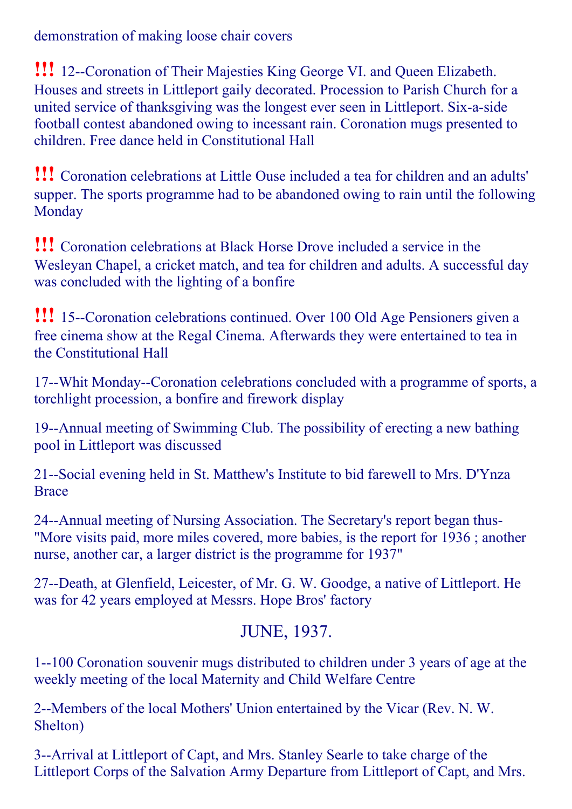demonstration of making loose chair covers

**!!!** 12--Coronation of Their Majesties King George VI. and Queen Elizabeth. Houses and streets in Littleport gaily decorated. Procession to Parish Church for a united service of thanksgiving was the longest ever seen in Littleport. Six-a-side football contest abandoned owing to incessant rain. Coronation mugs presented to children. Free dance held in Constitutional Hall

!!! Coronation celebrations at Little Ouse included <sup>a</sup> tea for children and an adults' supper. The sports programme had to be abandoned owing to rain until the following **Monday** 

!!! Coronation celebrations at Black Horse Drove included <sup>a</sup> service in the Wesleyan Chapel, a cricket match, and tea for children and adults. A successful day was concluded with the lighting of a bonfire

**!!!** 15--Coronation celebrations continued. Over 100 Old Age Pensioners given a free cinema show at the Regal Cinema. Afterwards they were entertained to tea in the Constitutional Hall

17--Whit Monday--Coronation celebrations concluded with a programme of sports, a torchlight procession, a bonfire and firework display

19--Annual meeting of Swimming Club. The possibility of erecting a new bathing pool in Littleport was discussed

21--Social evening held in St. Matthew's Institute to bid farewell to Mrs. D'Ynza Brace

24--Annual meeting of Nursing Association. The Secretary's report began thus-"More visits paid, more miles covered, more babies, is the report for 1936 ; another nurse, another car, a larger district is the programme for 1937"

27--Death, at Glenfield, Leicester, of Mr. G. W. Goodge, a native of Littleport. He was for 42 years employed at Messrs. Hope Bros' factory

#### JUNE, 1937.

1100 Coronation souvenir mugs distributed to children under 3 years of age at the weekly meeting of the local Maternity and Child Welfare Centre

2--Members of the local Mothers' Union entertained by the Vicar (Rev. N. W. Shelton)

3--Arrival at Littleport of Capt, and Mrs. Stanley Searle to take charge of the Littleport Corps of the Salvation Army Departure from Littleport of Capt, and Mrs.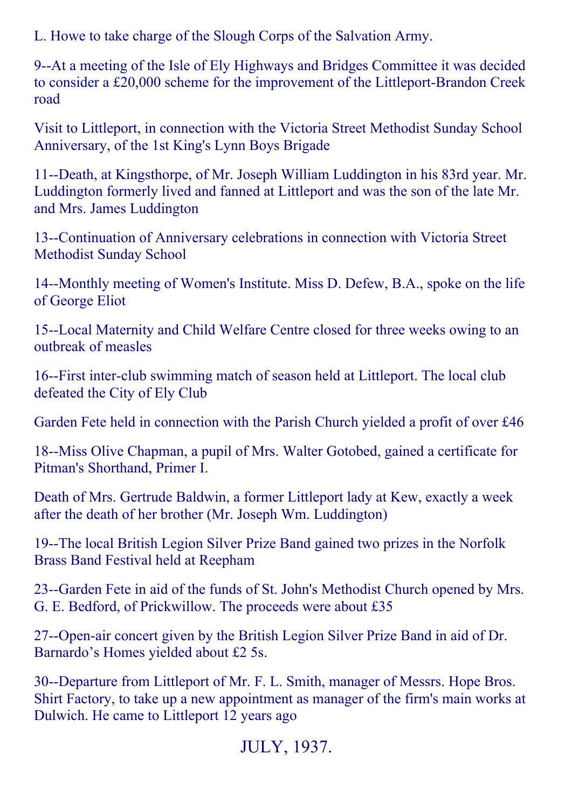L. Howe to take charge of the Slough Corps of the Salvation Army.

9--At a meeting of the Isle of Ely Highways and Bridges Committee it was decided to consider a £20,000 scheme for the improvement of the Littleport-Brandon Creek road

Visit to Littleport, in connection with the Victoria Street Methodist Sunday School Anniversary, of the 1st King's Lynn Boys Brigade

11--Death, at Kingsthorpe, of Mr. Joseph William Luddington in his 83rd year. Mr. Luddington formerly lived and fanned at Littleport and was the son of the late Mr. and Mrs. James Luddington

13--Continuation of Anniversary celebrations in connection with Victoria Street Methodist Sunday School

14--Monthly meeting of Women's Institute. Miss D. Defew, B.A., spoke on the life of George Eliot

15--Local Maternity and Child Welfare Centre closed for three weeks owing to an outbreak of measles

16-First inter-club swimming match of season held at Littleport. The local club defeated the City of Ely Club

Garden Fete held in connection with the Parish Church yielded a profit of over £46

18--Miss Olive Chapman, a pupil of Mrs. Walter Gotobed, gained a certificate for Pitman's Shorthand, Primer I.

Death of Mrs. Gertrude Baldwin, a former Littleport lady at Kew, exactly a week after the death of her brother (Mr. Joseph Wm. Luddington)

19--The local British Legion Silver Prize Band gained two prizes in the Norfolk Brass Band Festival held at Reepham

23--Garden Fete in aid of the funds of St. John's Methodist Church opened by Mrs. G. E. Bedford, of Prickwillow. The proceeds were about £35

27--Open-air concert given by the British Legion Silver Prize Band in aid of Dr. Barnardo's Homes yielded about £2 5s.

30--Departure from Littleport of Mr. F. L. Smith, manager of Messrs. Hope Bros. Shirt Factory, to take up a new appointment as manager of the firm's main works at Dulwich. He came to Littleport 12 years ago

# JULY, 1937.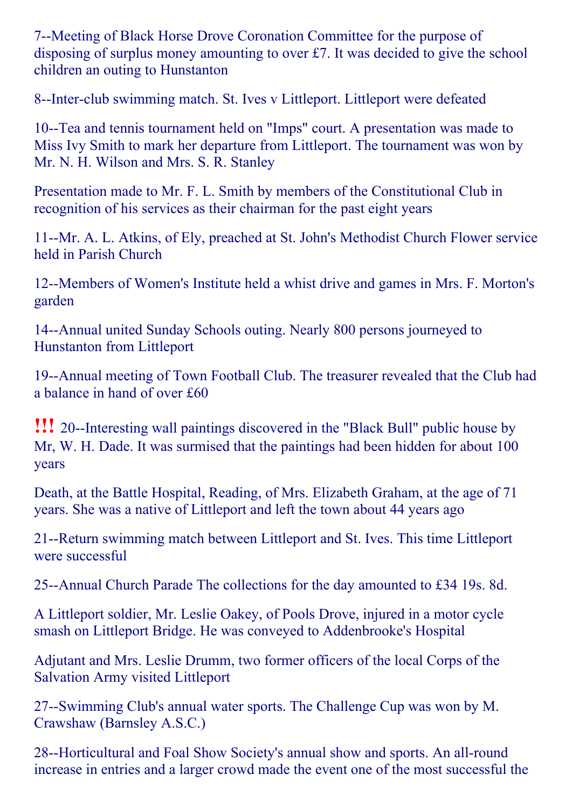7--Meeting of Black Horse Drove Coronation Committee for the purpose of disposing of surplus money amounting to over £7. It was decided to give the school children an outing to Hunstanton

8--Inter-club swimming match. St. Ives v Littleport. Littleport were defeated

10--Tea and tennis tournament held on "Imps" court. A presentation was made to Miss Ivy Smith to mark her departure from Littleport. The tournament was won by Mr. N. H. Wilson and Mrs. S. R. Stanley

Presentation made to Mr. F. L. Smith by members of the Constitutional Club in recognition of his services as their chairman for the past eight years

11--Mr. A. L. Atkins, of Ely, preached at St. John's Methodist Church Flower service held in Parish Church

12--Members of Women's Institute held a whist drive and games in Mrs. F. Morton's garden

14--Annual united Sunday Schools outing. Nearly 800 persons journeyed to Hunstanton from Littleport

19--Annual meeting of Town Football Club. The treasurer revealed that the Club had a balance in hand of over £60

**!!!** 20--Interesting wall paintings discovered in the "Black Bull" public house by Mr, W. H. Dade. It was surmised that the paintings had been hidden for about 100 years

Death, at the Battle Hospital, Reading, of Mrs. Elizabeth Graham, at the age of 71 years. She was a native of Littleport and left the town about 44 years ago

21--Return swimming match between Littleport and St. Ives. This time Littleport were successful

25--Annual Church Parade The collections for the day amounted to £34 19s. 8d.

A Littleport soldier, Mr. Leslie Oakey, of Pools Drove, injured in a motor cycle smash on Littleport Bridge. He was conveyed to Addenbrooke's Hospital

Adjutant and Mrs. Leslie Drumm, two former officers of the local Corps of the Salvation Army visited Littleport

27--Swimming Club's annual water sports. The Challenge Cup was won by M. Crawshaw (Barnsley A.S.C.)

28--Horticultural and Foal Show Society's annual show and sports. An all-round increase in entries and a larger crowd made the event one of the most successful the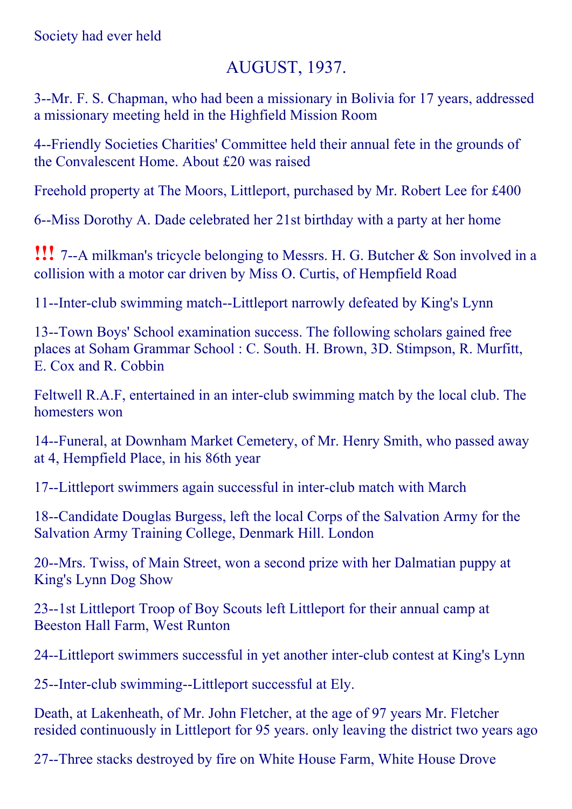# AUGUST, 1937.

3--Mr. F. S. Chapman, who had been a missionary in Bolivia for 17 years, addressed a missionary meeting held in the Highfield Mission Room

4Friendly Societies Charities' Committee held their annual fete in the grounds of the Convalescent Home. About £20 was raised

Freehold property at The Moors, Littleport, purchased by Mr. Robert Lee for £400

6--Miss Dorothy A. Dade celebrated her 21st birthday with a party at her home

**!!!** 7--A milkman's tricycle belonging to Messrs. H. G. Butcher & Son involved in a collision with a motor car driven by Miss O. Curtis, of Hempfield Road

11--Inter-club swimming match--Littleport narrowly defeated by King's Lynn

13--Town Boys' School examination success. The following scholars gained free places at Soham Grammar School : C. South. H. Brown, 3D. Stimpson, R. Murfitt, E. Cox and R. Cobbin

Feltwell R.A.F, entertained in an inter-club swimming match by the local club. The homesters won

14--Funeral, at Downham Market Cemetery, of Mr. Henry Smith, who passed away at 4, Hempfield Place, in his 86th year

17--Littleport swimmers again successful in inter-club match with March

18--Candidate Douglas Burgess, left the local Corps of the Salvation Army for the Salvation Army Training College, Denmark Hill. London

20--Mrs. Twiss, of Main Street, won a second prize with her Dalmatian puppy at King's Lynn Dog Show

23--1st Littleport Troop of Boy Scouts left Littleport for their annual camp at Beeston Hall Farm, West Runton

24--Littleport swimmers successful in yet another inter-club contest at King's Lynn

25--Inter-club swimming--Littleport successful at Ely.

Death, at Lakenheath, of Mr. John Fletcher, at the age of 97 years Mr. Fletcher resided continuously in Littleport for 95 years. only leaving the district two years ago

27--Three stacks destroyed by fire on White House Farm, White House Drove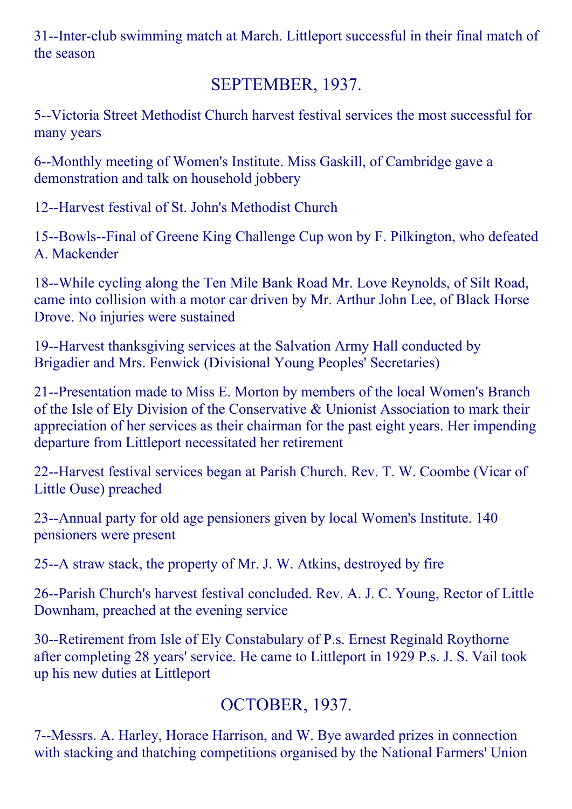31--Inter-club swimming match at March. Littleport successful in their final match of the season

## SEPTEMBER, 1937.

5--Victoria Street Methodist Church harvest festival services the most successful for many years

6--Monthly meeting of Women's Institute. Miss Gaskill, of Cambridge gave a demonstration and talk on household jobbery

12--Harvest festival of St. John's Methodist Church

15--Bowls--Final of Greene King Challenge Cup won by F. Pilkington, who defeated A. Mackender

18--While cycling along the Ten Mile Bank Road Mr. Love Reynolds, of Silt Road, came into collision with a motor car driven by Mr. Arthur John Lee, of Black Horse Drove. No injuries were sustained

19--Harvest thanksgiving services at the Salvation Army Hall conducted by Brigadier and Mrs. Fenwick (Divisional Young Peoples' Secretaries)

21--Presentation made to Miss E. Morton by members of the local Women's Branch of the Isle of Ely Division of the Conservative & Unionist Association to mark their appreciation of her services as their chairman for the past eight years. Her impending departure from Littleport necessitated her retirement

22--Harvest festival services began at Parish Church. Rev. T. W. Coombe (Vicar of Little Ouse) preached

23--Annual party for old age pensioners given by local Women's Institute. 140 pensioners were present

25--A straw stack, the property of Mr. J. W. Atkins, destroyed by fire

26--Parish Church's harvest festival concluded. Rev. A. J. C. Young, Rector of Little Downham, preached at the evening service

30--Retirement from Isle of Ely Constabulary of P.s. Ernest Reginald Roythorne after completing 28 years' service. He came to Littleport in 1929 P.s. J. S. Vail took up his new duties at Littleport

# OCTOBER, 1937.

7--Messrs. A. Harley, Horace Harrison, and W. Bye awarded prizes in connection with stacking and thatching competitions organised by the National Farmers' Union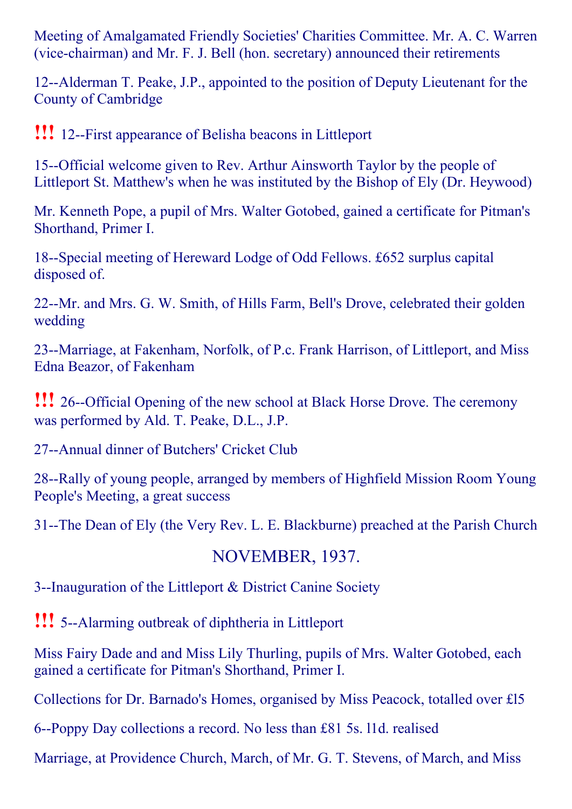Meeting of Amalgamated Friendly Societies' Charities Committee. Mr. A. C. Warren (vice-chairman) and Mr. F. J. Bell (hon. secretary) announced their retirements

12--Alderman T. Peake, J.P., appointed to the position of Deputy Lieutenant for the County of Cambridge

**!!!** 12--First appearance of Belisha beacons in Littleport

15--Official welcome given to Rev. Arthur Ainsworth Taylor by the people of Littleport St. Matthew's when he was instituted by the Bishop of Ely (Dr. Heywood)

Mr. Kenneth Pope, a pupil of Mrs. Walter Gotobed, gained a certificate for Pitman's Shorthand, Primer I.

18--Special meeting of Hereward Lodge of Odd Fellows. £652 surplus capital disposed of.

22--Mr. and Mrs. G. W. Smith, of Hills Farm, Bell's Drove, celebrated their golden wedding

23--Marriage, at Fakenham, Norfolk, of P.c. Frank Harrison, of Littleport, and Miss Edna Beazor, of Fakenham

**!!!** 26--Official Opening of the new school at Black Horse Drove. The ceremony was performed by Ald. T. Peake, D.L., J.P.

27--Annual dinner of Butchers' Cricket Club

28--Rally of young people, arranged by members of Highfield Mission Room Young People's Meeting, a great success

31--The Dean of Ely (the Very Rev. L. E. Blackburne) preached at the Parish Church

#### NOVEMBER, 1937.

3--Inauguration of the Littleport & District Canine Society

**!!!** 5--Alarming outbreak of diphtheria in Littleport

Miss Fairy Dade and and Miss Lily Thurling, pupils of Mrs. Walter Gotobed, each gained a certificate for Pitman's Shorthand, Primer I.

Collections for Dr. Barnado's Homes, organised by Miss Peacock, totalled over £l5

6--Poppy Day collections a record. No less than £81 5s. 11d. realised

Marriage, at Providence Church, March, of Mr. G. T. Stevens, of March, and Miss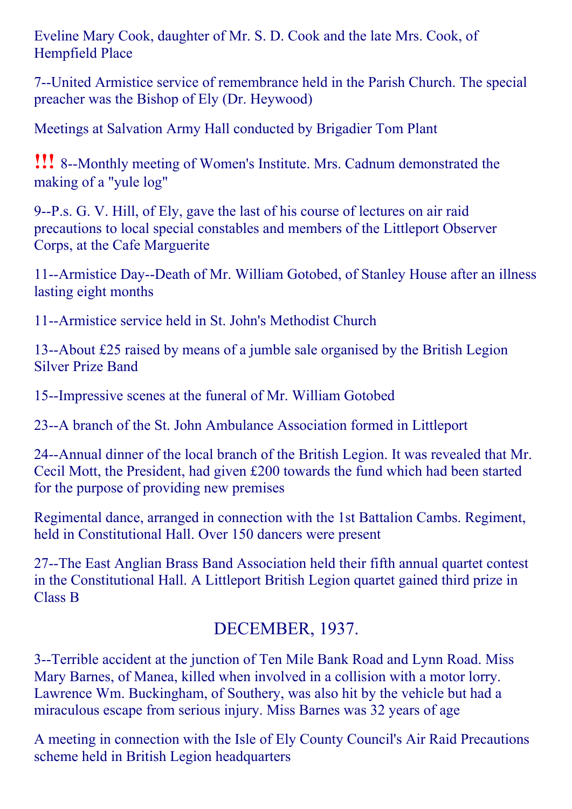Eveline Mary Cook, daughter of Mr. S. D. Cook and the late Mrs. Cook, of Hempfield Place

7United Armistice service of remembrance held in the Parish Church. The special preacher was the Bishop of Ely (Dr. Heywood)

Meetings at Salvation Army Hall conducted by Brigadier Tom Plant

**!!!** 8--Monthly meeting of Women's Institute. Mrs. Cadnum demonstrated the making of a "yule log"

9--P.s. G. V. Hill, of Ely, gave the last of his course of lectures on air raid precautions to local special constables and members of the Littleport Observer Corps, at the Cafe Marguerite

11--Armistice Day--Death of Mr. William Gotobed, of Stanley House after an illness lasting eight months

11--Armistice service held in St. John's Methodist Church

13--About  $£25$  raised by means of a jumble sale organised by the British Legion Silver Prize Band

15--Impressive scenes at the funeral of Mr. William Gotobed

23--A branch of the St. John Ambulance Association formed in Littleport

24--Annual dinner of the local branch of the British Legion. It was revealed that Mr. Cecil Mott, the President, had given £200 towards the fund which had been started for the purpose of providing new premises

Regimental dance, arranged in connection with the 1st Battalion Cambs. Regiment, held in Constitutional Hall. Over 150 dancers were present

27--The East Anglian Brass Band Association held their fifth annual quartet contest in the Constitutional Hall. A Littleport British Legion quartet gained third prize in Class B

# DECEMBER, 1937.

3--Terrible accident at the junction of Ten Mile Bank Road and Lynn Road. Miss Mary Barnes, of Manea, killed when involved in a collision with a motor lorry. Lawrence Wm. Buckingham, of Southery, was also hit by the vehicle but had a miraculous escape from serious injury. Miss Barnes was 32 years of age

A meeting in connection with the Isle of Ely County Council's Air Raid Precautions scheme held in British Legion headquarters